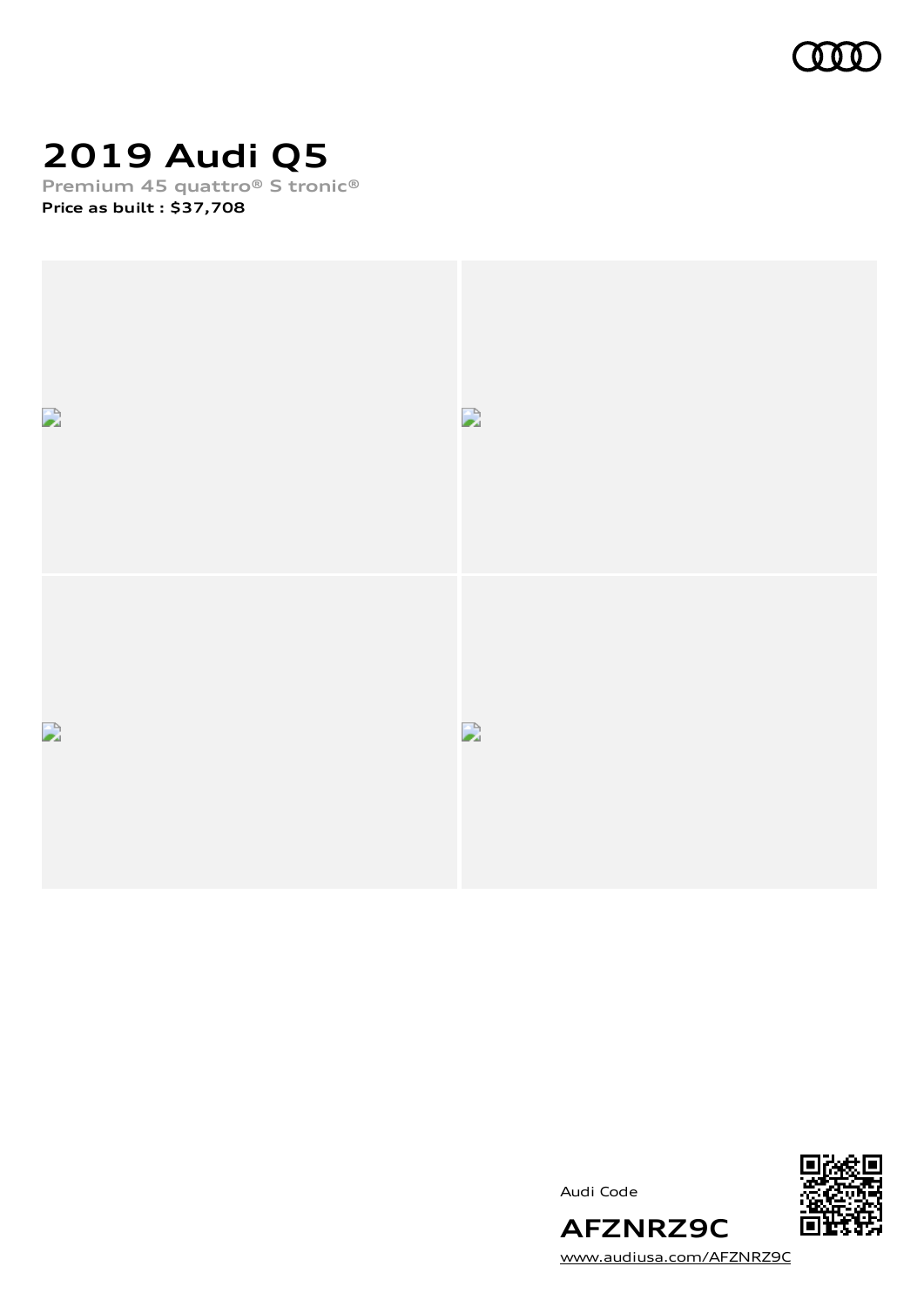

# **2019 Audi Q5**

**Premium 45 quattro® S tronic® Price as built [:](#page-10-0) \$37,708**





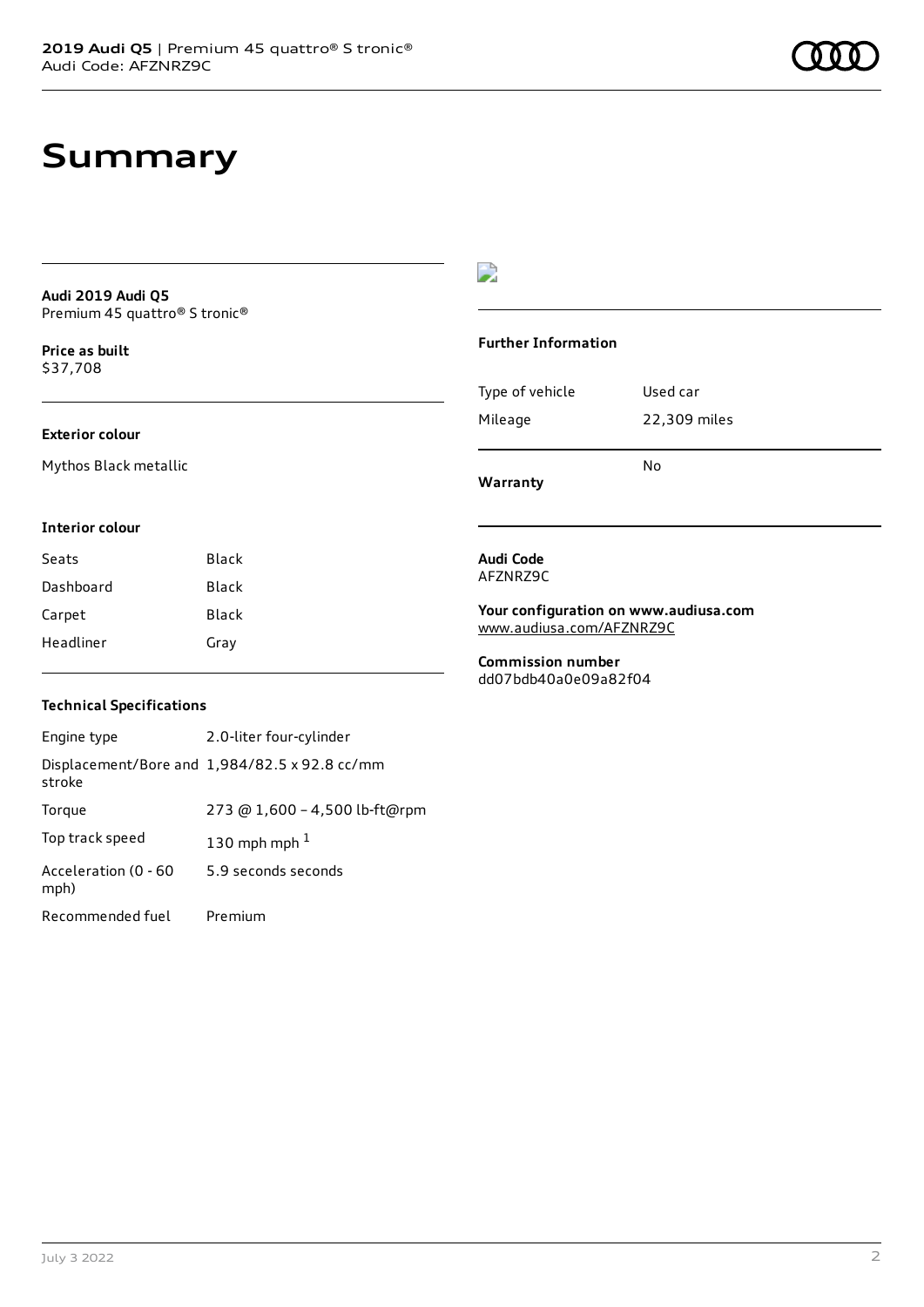## **Summary**

**Audi 2019 Audi Q5** Premium 45 quattro® S tronic®

**Price as buil[t](#page-10-0)** \$37,708

### **Exterior colour**

Mythos Black metallic

### $\overline{\phantom{a}}$

#### **Further Information**

| Warranty        | N٥           |
|-----------------|--------------|
| Mileage         | 22,309 miles |
| Type of vehicle | Used car     |

#### **Interior colour**

| Seats     | Black |
|-----------|-------|
| Dashboard | Black |
| Carpet    | Black |
| Headliner | Gray  |

#### **Audi Code** AFZNRZ9C

**Your configuration on www.audiusa.com** [www.audiusa.com/AFZNRZ9C](https://www.audiusa.com/AFZNRZ9C)

**Commission number** dd07bdb40a0e09a82f04

### **Technical Specifications**

| Engine type                  | 2.0-liter four-cylinder                       |
|------------------------------|-----------------------------------------------|
| stroke                       | Displacement/Bore and 1,984/82.5 x 92.8 cc/mm |
| Torque                       | 273 @ 1,600 - 4,500 lb-ft@rpm                 |
| Top track speed              | 130 mph mph $1$                               |
| Acceleration (0 - 60<br>mph) | 5.9 seconds seconds                           |
| Recommended fuel             | Premium                                       |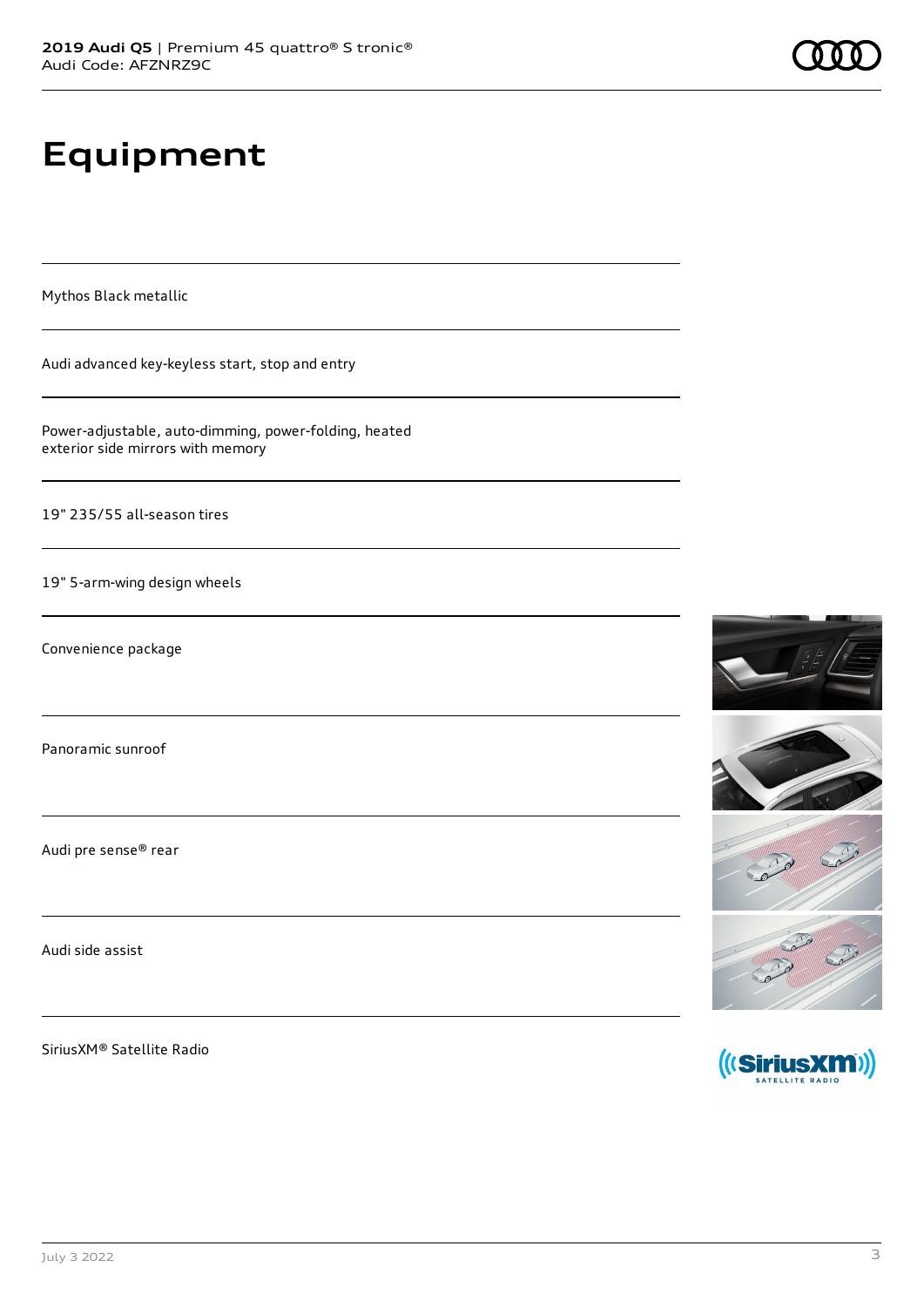# **Equipment**

Mythos Black metallic

Audi advanced key-keyless start, stop and entry

Power-adjustable, auto-dimming, power-folding, heated exterior side mirrors with memory

19" 235/55 all-season tires

19" 5-arm-wing design wheels

Convenience package

Panoramic sunroof

Audi pre sense® rear

Audi side assist

SiriusXM® Satellite Radio









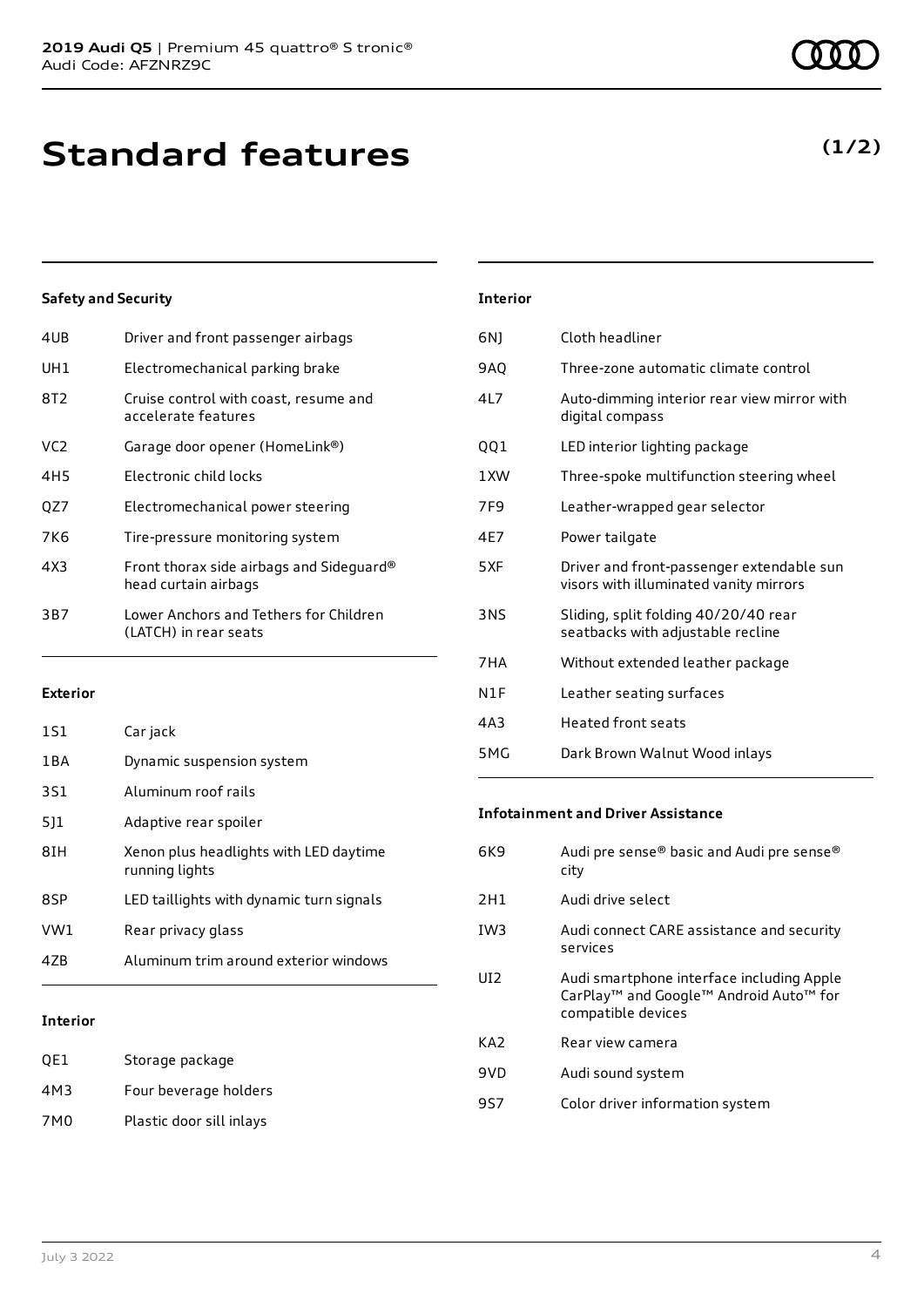| 4UB             | Driver and front passenger airbags                               |
|-----------------|------------------------------------------------------------------|
| UH1             | Electromechanical parking brake                                  |
| 8T2             | Cruise control with coast, resume and<br>accelerate features     |
| VC <sub>2</sub> | Garage door opener (HomeLink®)                                   |
| 4H5             | Electronic child locks                                           |
| QZ7             | Electromechanical power steering                                 |
| 7K6             | Tire-pressure monitoring system                                  |
| 4X3             | Front thorax side airbags and Sideguard®<br>head curtain airbags |
| 3B7             | Lower Anchors and Tethers for Children<br>(LATCH) in rear seats  |
|                 |                                                                  |

#### **Exterior**

| 47B   | Aluminum trim around exterior windows                    |
|-------|----------------------------------------------------------|
| VW1   | Rear privacy glass                                       |
| 8SP   | LED taillights with dynamic turn signals                 |
| 8IH   | Xenon plus headlights with LED daytime<br>running lights |
| 511   | Adaptive rear spoiler                                    |
| 3S1   | Aluminum roof rails                                      |
| 1 B A | Dynamic suspension system                                |
| 1S1   | Car jack                                                 |

### **Interior**

| OE1 | Storage package          |
|-----|--------------------------|
| 4M3 | Four beverage holders    |
| 7M0 | Plastic door sill inlays |

| <b>Interior</b>  |                                                                                     |
|------------------|-------------------------------------------------------------------------------------|
| 6N1              | Cloth headliner                                                                     |
| <b>9AO</b>       | Three-zone automatic climate control                                                |
| 417              | Auto-dimming interior rear view mirror with<br>digital compass                      |
| QQ1              | LED interior lighting package                                                       |
| 1 XW             | Three-spoke multifunction steering wheel                                            |
| 7F <sub>9</sub>  | Leather-wrapped gear selector                                                       |
| 4F7              | Power tailgate                                                                      |
| 5XF              | Driver and front-passenger extendable sun<br>visors with illuminated vanity mirrors |
| 3NS              | Sliding, split folding 40/20/40 rear<br>seatbacks with adjustable recline           |
| 7HA              | Without extended leather package                                                    |
| N <sub>1</sub> F | Leather seating surfaces                                                            |
| 4A3              | <b>Heated front seats</b>                                                           |
| 5MG              | Dark Brown Walnut Wood inlays                                                       |

#### **Infotainment and Driver Assistance**

| 6K9             | Audi pre sense® basic and Audi pre sense®<br>city                                                                     |
|-----------------|-----------------------------------------------------------------------------------------------------------------------|
| 2H1             | Audi drive select                                                                                                     |
| IW <sub>3</sub> | Audi connect CARE assistance and security<br>services                                                                 |
| UI <sub>2</sub> | Audi smartphone interface including Apple<br>CarPlay <sup>™</sup> and Google™ Android Auto™ for<br>compatible devices |
| KA <sub>2</sub> | Rear view camera                                                                                                      |
| 9VD             | Audi sound system                                                                                                     |
| 9S7             | Color driver information system                                                                                       |

### **(1/2)**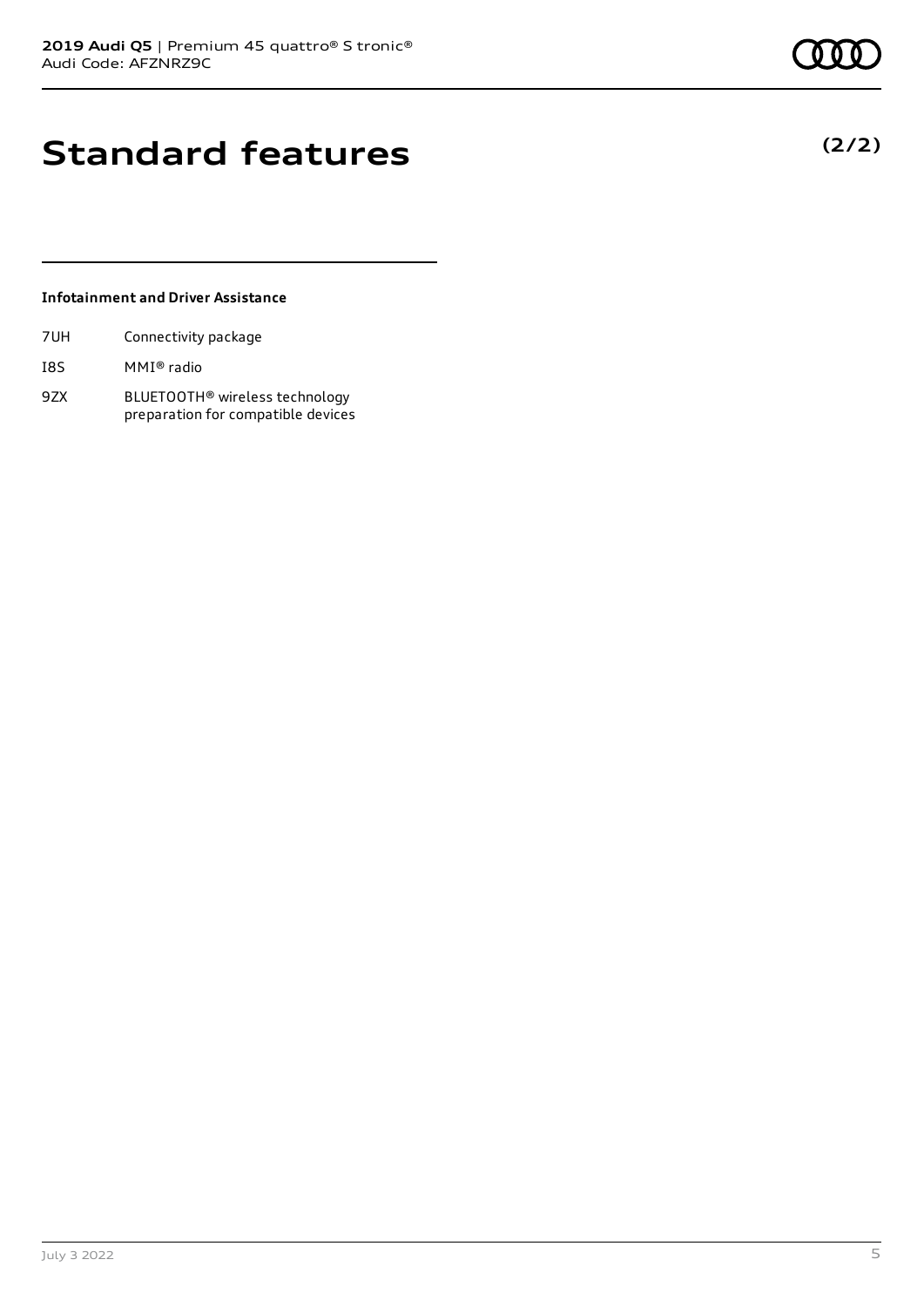# **Standard features**

### **Infotainment and Driver Assistance**

| 7UH | Connectivity package |  |
|-----|----------------------|--|
|     |                      |  |

- I8S MMI® radio
- 9ZX BLUETOOTH® wireless technology preparation for compatible devices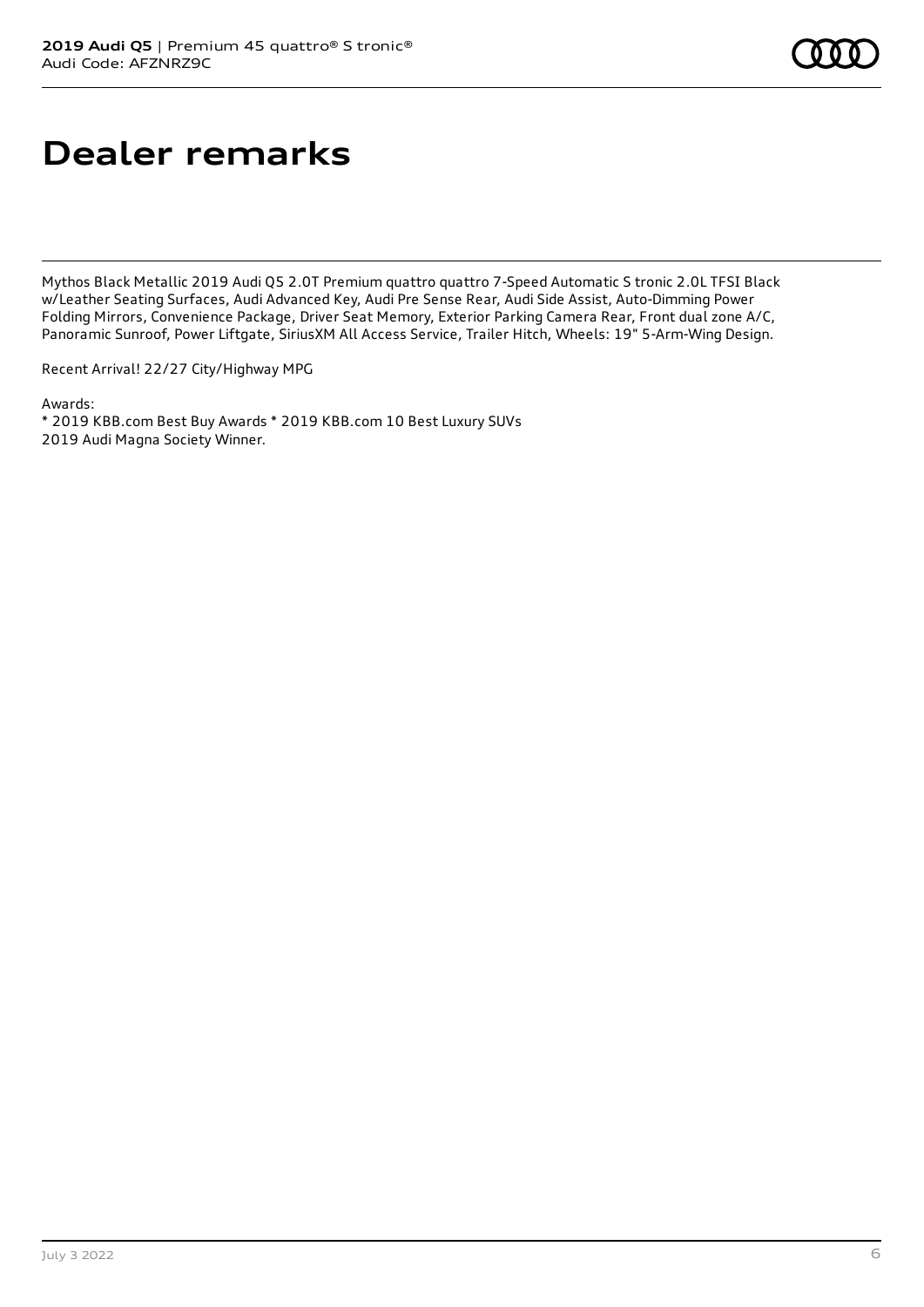# **Dealer remarks**

Mythos Black Metallic 2019 Audi Q5 2.0T Premium quattro quattro 7-Speed Automatic S tronic 2.0L TFSI Black w/Leather Seating Surfaces, Audi Advanced Key, Audi Pre Sense Rear, Audi Side Assist, Auto-Dimming Power Folding Mirrors, Convenience Package, Driver Seat Memory, Exterior Parking Camera Rear, Front dual zone A/C, Panoramic Sunroof, Power Liftgate, SiriusXM All Access Service, Trailer Hitch, Wheels: 19" 5-Arm-Wing Design.

Recent Arrival! 22/27 City/Highway MPG

Awards: \* 2019 KBB.com Best Buy Awards \* 2019 KBB.com 10 Best Luxury SUVs 2019 Audi Magna Society Winner.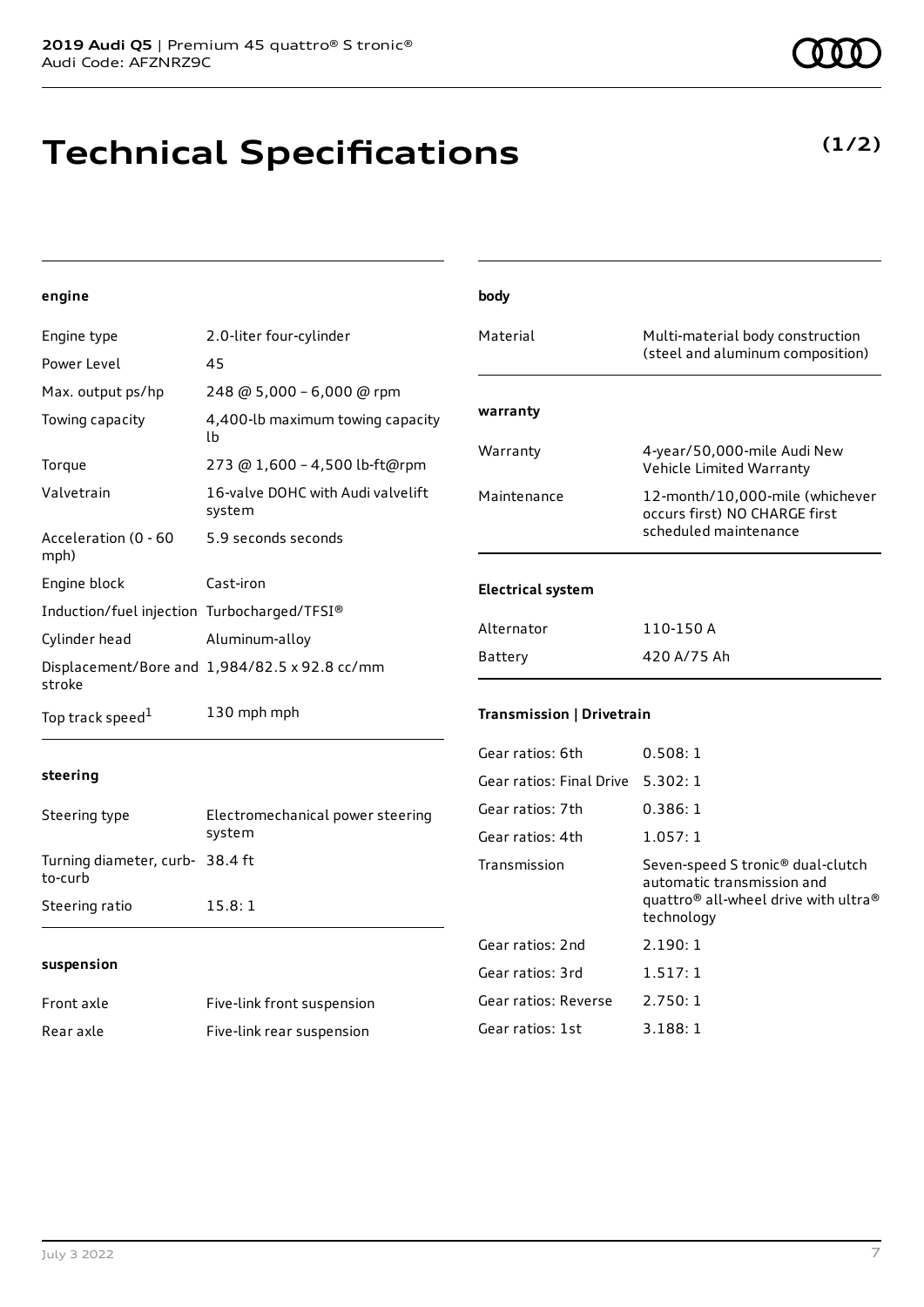# **Technical Specifications**

| engine                                      |                                               | body                              |                                                                  |
|---------------------------------------------|-----------------------------------------------|-----------------------------------|------------------------------------------------------------------|
| Engine type                                 | 2.0-liter four-cylinder                       | Material                          | Multi-material body construction                                 |
| Power Level                                 | 45                                            |                                   | (steel and aluminum composition)                                 |
| Max. output ps/hp                           | 248 @ 5,000 - 6,000 @ rpm                     |                                   |                                                                  |
| Towing capacity                             | 4,400-lb maximum towing capacity<br>Ib.       | warranty                          |                                                                  |
| Torque                                      | 273 @ 1,600 - 4,500 lb-ft@rpm                 | Warranty                          | 4-year/50,000-mile Audi New<br>Vehicle Limited Warranty          |
| Valvetrain                                  | 16-valve DOHC with Audi valvelift<br>system   | Maintenance                       | 12-month/10,000-mile (whichever<br>occurs first) NO CHARGE first |
| Acceleration (0 - 60<br>mph)                | 5.9 seconds seconds                           |                                   | scheduled maintenance                                            |
| Engine block                                | Cast-iron                                     | <b>Electrical system</b>          |                                                                  |
| Induction/fuel injection Turbocharged/TFSI® |                                               |                                   |                                                                  |
| Cylinder head                               | Aluminum-alloy                                | Alternator                        | 110-150 A                                                        |
| stroke                                      | Displacement/Bore and 1,984/82.5 x 92.8 cc/mm | Battery                           | 420 A/75 Ah                                                      |
| Top track speed <sup>1</sup>                | 130 mph mph                                   | Transmission   Drivetrain         |                                                                  |
|                                             |                                               | Gear ratios: 6th                  | 0.508:1                                                          |
| steering                                    |                                               | Gear ratios: Final Drive 5.302: 1 |                                                                  |
| Steering type                               | Electromechanical power steering              | Gear ratios: 7th                  | 0.386:1                                                          |
|                                             | system                                        | Gear ratios: 4th                  | 1.057:1                                                          |
| Turning diameter, curb- 38.4 ft<br>to-curb  |                                               | Transmission                      | Seven-speed S tronic® dual-clutch<br>automatic transmission and  |
| Steering ratio                              | 15.8:1                                        |                                   | quattro® all-wheel drive with ultra®<br>technology               |
|                                             |                                               | Gear ratios: 2nd                  | 2.190:1                                                          |
| suspension                                  |                                               | Gear ratios: 3rd                  | 1.517:1                                                          |
| Front axle                                  | Five-link front suspension                    | Gear ratios: Reverse              | 2.750:1                                                          |
| Rear axle                                   | Five-link rear suspension                     | Gear ratios: 1st                  | 3.188:1                                                          |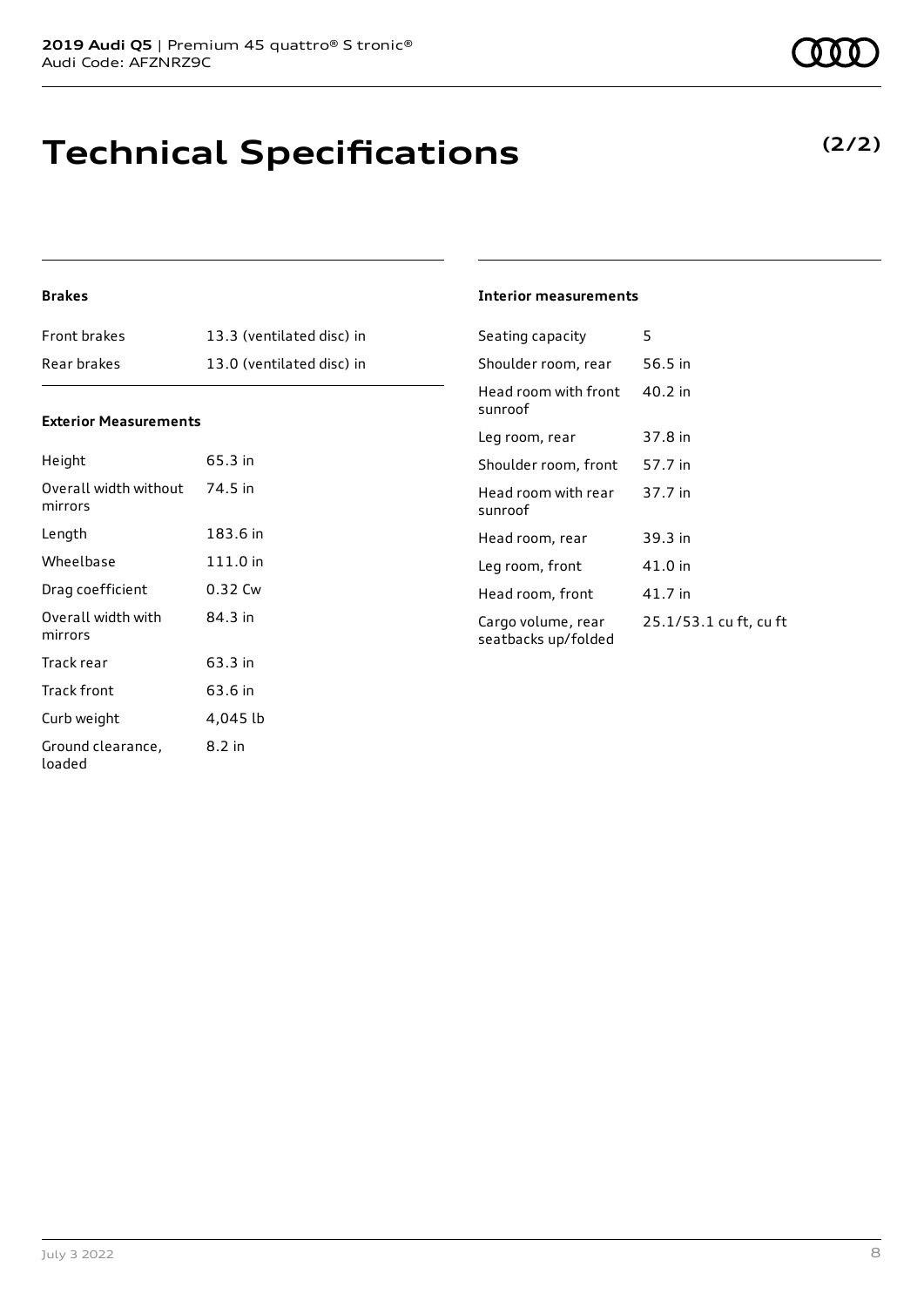# **Technical Specifications**

### **(2/2)**

### **Brakes**

| <b>Front brakes</b> | 13.3 (ventilated disc) in |
|---------------------|---------------------------|
| Rear brakes         | 13.0 (ventilated disc) in |

#### **Exterior Measurements**

| Height                           | 65.3 in  |
|----------------------------------|----------|
| Overall width without<br>mirrors | 74.5 in  |
| Length                           | 183.6 in |
| Wheelbase                        | 111.0 in |
| Drag coefficient                 | 0.32 Cw  |
| Overall width with<br>mirrors    | 84.3 in  |
| Track rear                       | 63.3 in  |
| Track front                      | 63.6 in  |
| Curb weight                      | 4,045 lb |
| Ground clearance,<br>loaded      | 8.2 in   |

#### **Interior measurements**

| Seating capacity                          | 5                      |
|-------------------------------------------|------------------------|
| Shoulder room, rear                       | 56.5 in                |
| Head room with front<br>sunroof           | $40.2$ in              |
| Leg room, rear                            | 37.8 in                |
| Shoulder room, front                      | 57.7 in                |
| Head room with rear<br>sunroof            | 37.7 in                |
| Head room, rear                           | 39.3 in                |
| Leg room, front                           | 41.0 in                |
| Head room, front                          | 41.7 in                |
| Cargo volume, rear<br>seatbacks up/folded | 25.1/53.1 cu ft, cu ft |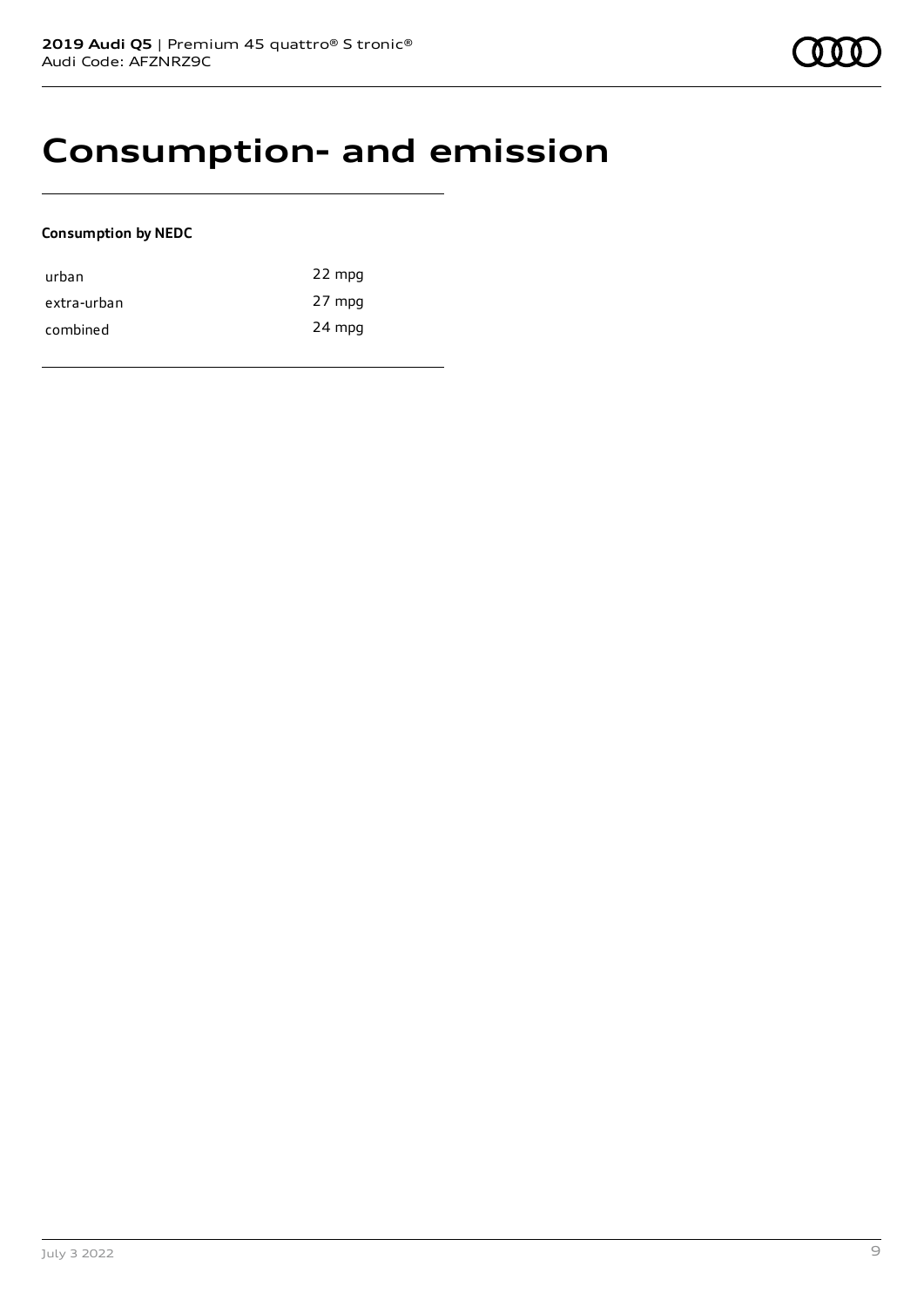## **Consumption- and emission**

### **Consumption by NEDC**

| urban       | 22 mpg |
|-------------|--------|
| extra-urban | 27 mpg |
| combined    | 24 mpg |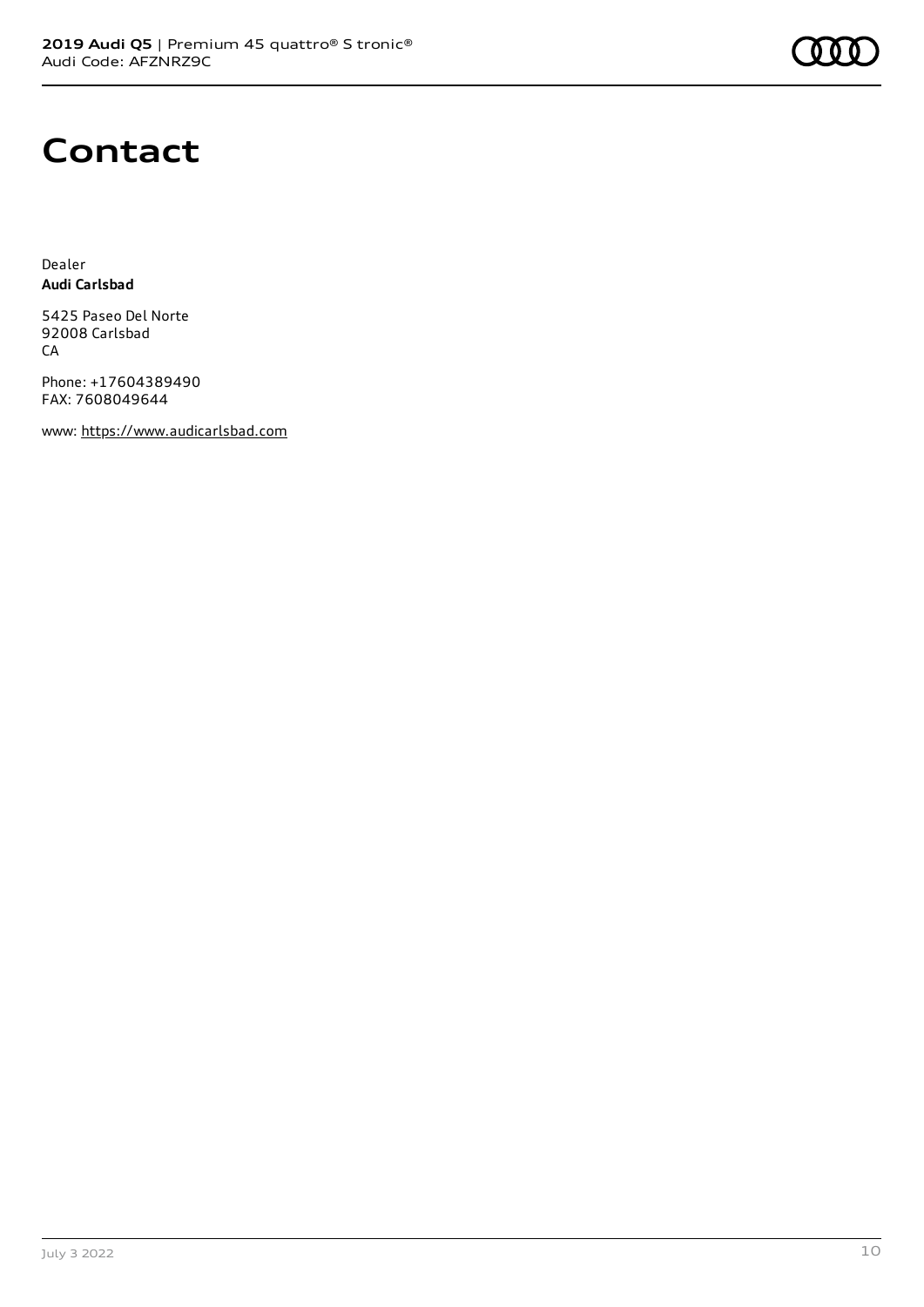

## **Contact**

Dealer **Audi Carlsbad**

5425 Paseo Del Norte 92008 Carlsbad **CA** 

Phone: +17604389490 FAX: 7608049644

www: [https://www.audicarlsbad.com](https://www.audicarlsbad.com/)